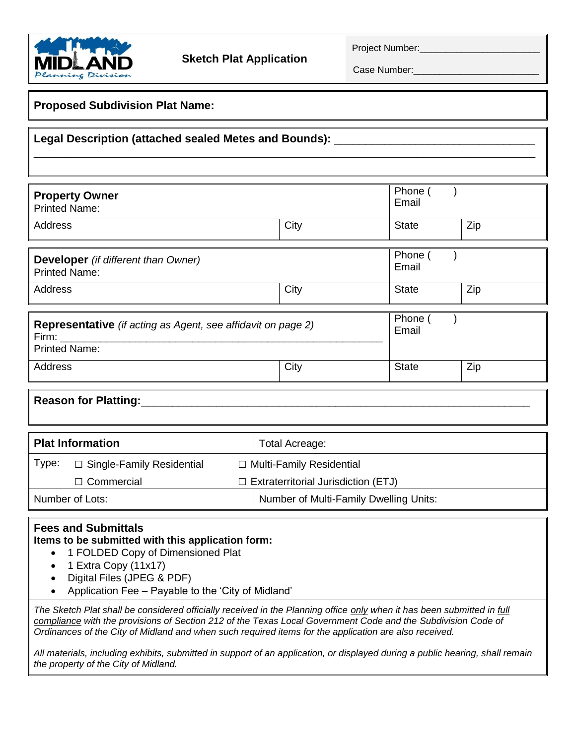

Project Number:

Case Number:

## **Proposed Subdivision Plat Name:** Legal Description (attached sealed Metes and Bounds): \_\_\_\_\_ \_\_\_\_\_\_\_\_\_\_\_\_\_\_\_\_\_\_\_\_\_\_\_\_\_\_\_\_\_\_\_\_\_\_\_\_\_\_\_\_\_\_\_\_\_\_\_\_\_\_\_\_\_\_\_\_\_\_\_\_\_\_\_\_\_\_\_\_\_\_\_\_\_\_\_\_\_\_\_\_ **Property Owner** Printed Name: Phone () Email Address and City (City State Zip) (State State State State State State State State State State State State State State State State State State State State State State State State State State State State State State State S **Developer** *(if different than Owner)* Printed Name: Phone () Email Address and City (City of State  $\qquad$  Zip **Representative** *(if acting as Agent, see affidavit on page 2)* Firm: \_\_\_\_\_\_\_\_\_\_\_\_\_\_\_\_\_\_\_\_\_\_\_\_\_\_\_\_\_\_\_\_\_\_\_\_\_\_\_\_\_\_\_\_\_\_\_\_\_\_\_\_\_\_\_\_ Printed Name: Phone () Email Address and City and State and Zip **Reason for Platting: Plat Information** Total Acreage: Type: **□** Single-Family Residential **□** Multi-Family Residential **□** Commercial **□** Extraterritorial Jurisdiction (ETJ) Number of Lots:  $\vert$  Number of Multi-Family Dwelling Units: **Fees and Submittals Items to be submitted with this application form:** • 1 FOLDED Copy of Dimensioned Plat • 1 Extra Copy (11x17) Digital Files (JPEG & PDF) Application Fee – Payable to the 'City of Midland' *The Sketch Plat shall be considered officially received in the Planning office only when it has been submitted in full compliance with the provisions of Section 212 of the Texas Local Government Code and the Subdivision Code of Ordinances of the City of Midland and when such required items for the application are also received.*

*All materials, including exhibits, submitted in support of an application, or displayed during a public hearing, shall remain the property of the City of Midland.*